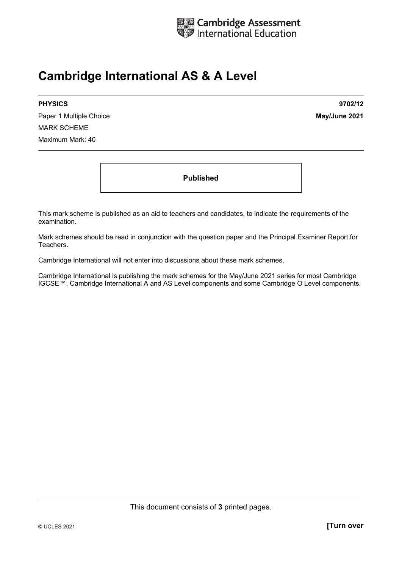

## **Cambridge International AS & A Level**

Paper 1 Multiple Choice **May/June 2021** MARK SCHEME Maximum Mark: 40

**PHYSICS 9702/12** 

**Published** 

This mark scheme is published as an aid to teachers and candidates, to indicate the requirements of the examination.

Mark schemes should be read in conjunction with the question paper and the Principal Examiner Report for Teachers.

Cambridge International will not enter into discussions about these mark schemes.

Cambridge International is publishing the mark schemes for the May/June 2021 series for most Cambridge IGCSE™, Cambridge International A and AS Level components and some Cambridge O Level components.

This document consists of **3** printed pages.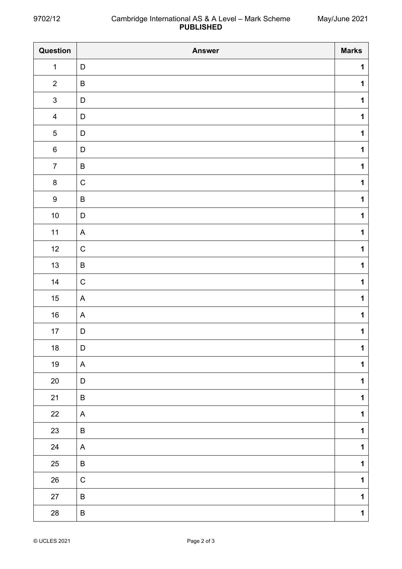| Question                | <b>Answer</b> | <b>Marks</b> |
|-------------------------|---------------|--------------|
| $\mathbf 1$             | $\mathsf D$   | $\mathbf 1$  |
| $\overline{2}$          | $\sf B$       | $\mathbf 1$  |
| $\mathbf{3}$            | D             | $\mathbf 1$  |
| $\overline{\mathbf{4}}$ | D             | $\mathbf 1$  |
| $\mathbf 5$             | $\mathsf D$   | $\mathbf 1$  |
| $\,6$                   | $\mathsf D$   | $\mathbf 1$  |
| $\boldsymbol{7}$        | $\sf B$       | $\mathbf 1$  |
| $\bf 8$                 | $\mathsf C$   | $\mathbf 1$  |
| $\boldsymbol{9}$        | $\sf B$       | $\mathbf 1$  |
| $10\,$                  | D             | $\mathbf 1$  |
| $11$                    | $\mathsf{A}$  | $\mathbf 1$  |
| 12                      | $\mathsf C$   | $\mathbf 1$  |
| 13                      | $\sf B$       | $\mathbf 1$  |
| 14                      | $\mathsf C$   | $\mathbf 1$  |
| $15$                    | $\mathsf{A}$  | $\mathbf 1$  |
| $16\,$                  | $\mathsf{A}$  | $\mathbf 1$  |
| $17$                    | $\mathsf D$   | $\mathbf 1$  |
| 18                      | D             | $\mathbf 1$  |
| $19$                    | $\mathsf{A}$  | $\mathbf 1$  |
| $20\,$                  | D             | $\mathbf 1$  |
| 21                      | $\sf B$       | $\mathbf 1$  |
| 22                      | $\mathsf{A}$  | $\mathbf 1$  |
| 23                      | B             | $\mathbf 1$  |
| 24                      | $\mathsf{A}$  | $\mathbf 1$  |
| $25\,$                  | $\sf B$       | $\mathbf 1$  |
| $26\,$                  | $\mathsf C$   | $\mathbf 1$  |
| $27\,$                  | $\sf B$       | $\mathbf 1$  |
| $28\,$                  | $\sf B$       | $\mathbf 1$  |